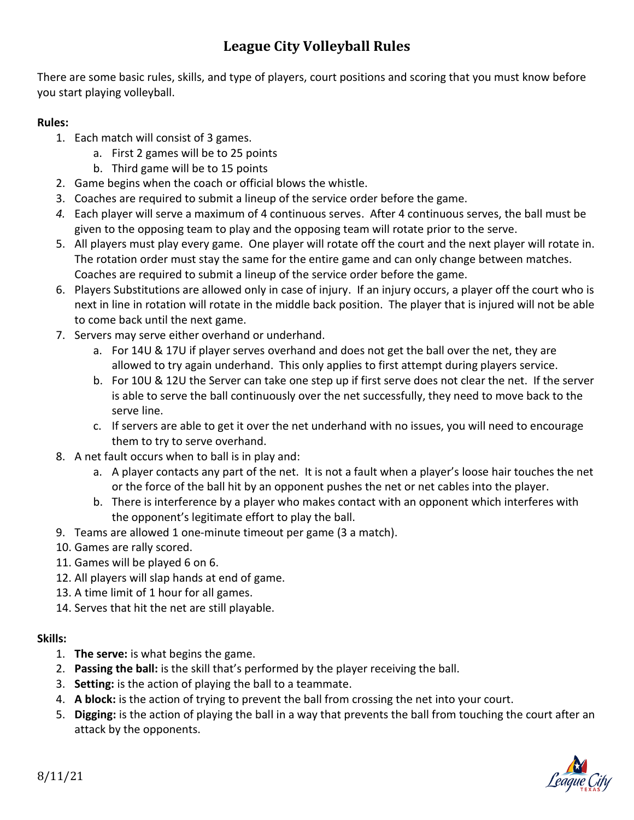## **League City Volleyball Rules**

There are some basic rules, skills, and type of players, court positions and scoring that you must know before you start playing volleyball.

## **Rules:**

- 1. Each match will consist of 3 games.
	- a. First 2 games will be to 25 points
	- b. Third game will be to 15 points
- 2. Game begins when the coach or official blows the whistle.
- 3. Coaches are required to submit a lineup of the service order before the game.
- *4.* Each player will serve a maximum of 4 continuous serves. After 4 continuous serves, the ball must be given to the opposing team to play and the opposing team will rotate prior to the serve.
- 5. All players must play every game. One player will rotate off the court and the next player will rotate in. The rotation order must stay the same for the entire game and can only change between matches. Coaches are required to submit a lineup of the service order before the game.
- 6. Players Substitutions are allowed only in case of injury. If an injury occurs, a player off the court who is next in line in rotation will rotate in the middle back position. The player that is injured will not be able to come back until the next game.
- 7. Servers may serve either overhand or underhand.
	- a. For 14U & 17U if player serves overhand and does not get the ball over the net, they are allowed to try again underhand. This only applies to first attempt during players service.
	- b. For 10U & 12U the Server can take one step up if first serve does not clear the net. If the server is able to serve the ball continuously over the net successfully, they need to move back to the serve line.
	- c. If servers are able to get it over the net underhand with no issues, you will need to encourage them to try to serve overhand.
- 8. A net fault occurs when to ball is in play and:
	- a. A player contacts any part of the net. It is not a fault when a player's loose hair touches the net or the force of the ball hit by an opponent pushes the net or net cables into the player.
	- b. There is interference by a player who makes contact with an opponent which interferes with the opponent's legitimate effort to play the ball.
- 9. Teams are allowed 1 one-minute timeout per game (3 a match).
- 10. Games are rally scored.
- 11. Games will be played 6 on 6.
- 12. All players will slap hands at end of game.
- 13. A time limit of 1 hour for all games.
- 14. Serves that hit the net are still playable.

## **Skills:**

- 1. **The serve:** is what begins the game.
- 2. **Passing the ball:** is the skill that's performed by the player receiving the ball.
- 3. **Setting:** is the action of playing the ball to a teammate.
- 4. **A block:** is the action of trying to prevent the ball from crossing the net into your court.
- 5. **Digging:** is the action of playing the ball in a way that prevents the ball from touching the court after an attack by the opponents.